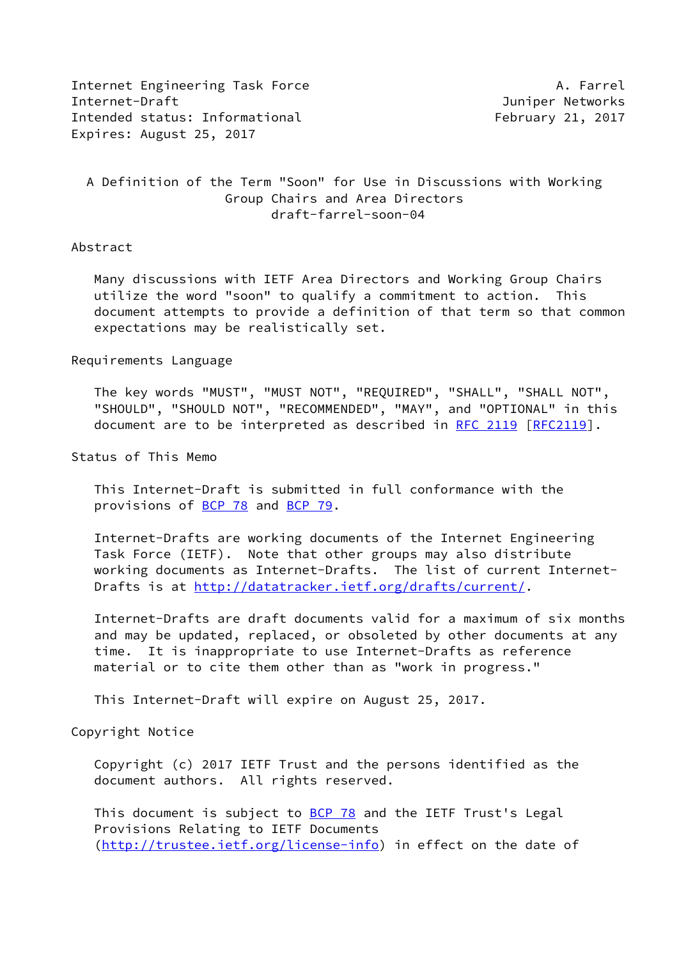Internet Engineering Task Force **A. Farrel** A. Farrel Internet-Draft Juniper Networks Intended status: Informational February 21, 2017 Expires: August 25, 2017

# A Definition of the Term "Soon" for Use in Discussions with Working Group Chairs and Area Directors draft-farrel-soon-04

## Abstract

 Many discussions with IETF Area Directors and Working Group Chairs utilize the word "soon" to qualify a commitment to action. This document attempts to provide a definition of that term so that common expectations may be realistically set.

#### Requirements Language

 The key words "MUST", "MUST NOT", "REQUIRED", "SHALL", "SHALL NOT", "SHOULD", "SHOULD NOT", "RECOMMENDED", "MAY", and "OPTIONAL" in this document are to be interpreted as described in [RFC 2119 \[RFC2119](https://datatracker.ietf.org/doc/pdf/rfc2119)].

Status of This Memo

 This Internet-Draft is submitted in full conformance with the provisions of [BCP 78](https://datatracker.ietf.org/doc/pdf/bcp78) and [BCP 79](https://datatracker.ietf.org/doc/pdf/bcp79).

 Internet-Drafts are working documents of the Internet Engineering Task Force (IETF). Note that other groups may also distribute working documents as Internet-Drafts. The list of current Internet- Drafts is at<http://datatracker.ietf.org/drafts/current/>.

 Internet-Drafts are draft documents valid for a maximum of six months and may be updated, replaced, or obsoleted by other documents at any time. It is inappropriate to use Internet-Drafts as reference material or to cite them other than as "work in progress."

This Internet-Draft will expire on August 25, 2017.

## Copyright Notice

 Copyright (c) 2017 IETF Trust and the persons identified as the document authors. All rights reserved.

This document is subject to **[BCP 78](https://datatracker.ietf.org/doc/pdf/bcp78)** and the IETF Trust's Legal Provisions Relating to IETF Documents [\(http://trustee.ietf.org/license-info](http://trustee.ietf.org/license-info)) in effect on the date of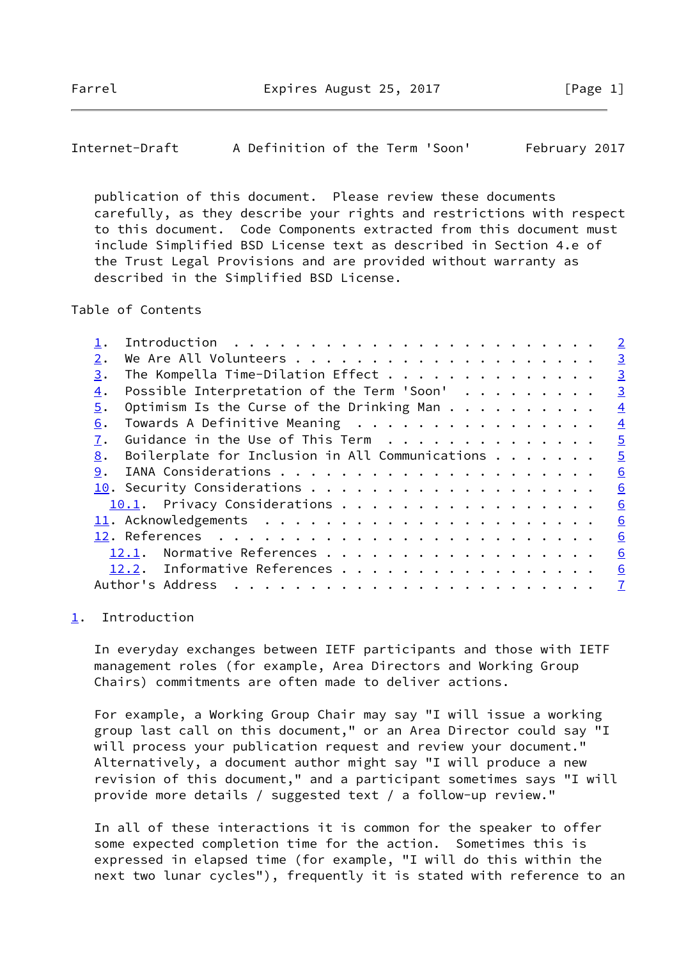<span id="page-1-1"></span>Internet-Draft A Definition of the Term 'Soon' February 2017

 publication of this document. Please review these documents carefully, as they describe your rights and restrictions with respect to this document. Code Components extracted from this document must include Simplified BSD License text as described in Section 4.e of the Trust Legal Provisions and are provided without warranty as described in the Simplified BSD License.

Table of Contents

|    |                                                 | $\overline{2}$ |
|----|-------------------------------------------------|----------------|
| 2. |                                                 | $\overline{3}$ |
| 3. | The Kompella Time-Dilation Effect               | $\overline{3}$ |
| 4. | Possible Interpretation of the Term 'Soon'      | $\overline{3}$ |
| 5. | Optimism Is the Curse of the Drinking Man       | $\overline{4}$ |
| 6. | Towards A Definitive Meaning                    | $\overline{4}$ |
| 7. | Guidance in the Use of This Term                | $\overline{5}$ |
| 8. | Boilerplate for Inclusion in All Communications | $\overline{5}$ |
| 9. |                                                 | 6              |
|    |                                                 | 6              |
|    | 10.1. Privacy Considerations                    | 6              |
|    |                                                 | 6              |
|    |                                                 | 6              |
|    | Normative References<br>12.1.                   | 6              |
|    | 12.2. Informative References                    | 6              |
|    | Author's Address                                | $\overline{7}$ |
|    |                                                 |                |

### <span id="page-1-0"></span>[1](#page-1-0). Introduction

 In everyday exchanges between IETF participants and those with IETF management roles (for example, Area Directors and Working Group Chairs) commitments are often made to deliver actions.

 For example, a Working Group Chair may say "I will issue a working group last call on this document," or an Area Director could say "I will process your publication request and review your document." Alternatively, a document author might say "I will produce a new revision of this document," and a participant sometimes says "I will provide more details / suggested text / a follow-up review."

 In all of these interactions it is common for the speaker to offer some expected completion time for the action. Sometimes this is expressed in elapsed time (for example, "I will do this within the next two lunar cycles"), frequently it is stated with reference to an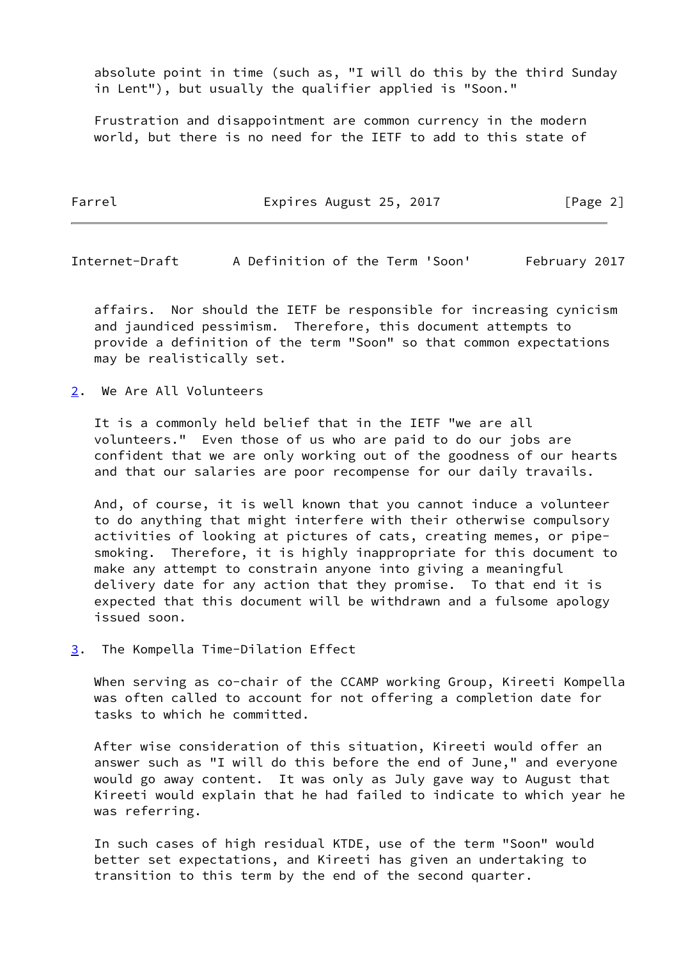absolute point in time (such as, "I will do this by the third Sunday in Lent"), but usually the qualifier applied is "Soon."

 Frustration and disappointment are common currency in the modern world, but there is no need for the IETF to add to this state of

| Farrel | Expires August 25, 2017 |  |  |  |  | [Page 2] |  |
|--------|-------------------------|--|--|--|--|----------|--|
|--------|-------------------------|--|--|--|--|----------|--|

<span id="page-2-1"></span>Internet-Draft A Definition of the Term 'Soon' February 2017

 affairs. Nor should the IETF be responsible for increasing cynicism and jaundiced pessimism. Therefore, this document attempts to provide a definition of the term "Soon" so that common expectations may be realistically set.

<span id="page-2-0"></span>[2](#page-2-0). We Are All Volunteers

 It is a commonly held belief that in the IETF "we are all volunteers." Even those of us who are paid to do our jobs are confident that we are only working out of the goodness of our hearts and that our salaries are poor recompense for our daily travails.

 And, of course, it is well known that you cannot induce a volunteer to do anything that might interfere with their otherwise compulsory activities of looking at pictures of cats, creating memes, or pipe smoking. Therefore, it is highly inappropriate for this document to make any attempt to constrain anyone into giving a meaningful delivery date for any action that they promise. To that end it is expected that this document will be withdrawn and a fulsome apology issued soon.

<span id="page-2-2"></span>[3](#page-2-2). The Kompella Time-Dilation Effect

When serving as co-chair of the CCAMP working Group, Kireeti Kompella was often called to account for not offering a completion date for tasks to which he committed.

 After wise consideration of this situation, Kireeti would offer an answer such as "I will do this before the end of June," and everyone would go away content. It was only as July gave way to August that Kireeti would explain that he had failed to indicate to which year he was referring.

 In such cases of high residual KTDE, use of the term "Soon" would better set expectations, and Kireeti has given an undertaking to transition to this term by the end of the second quarter.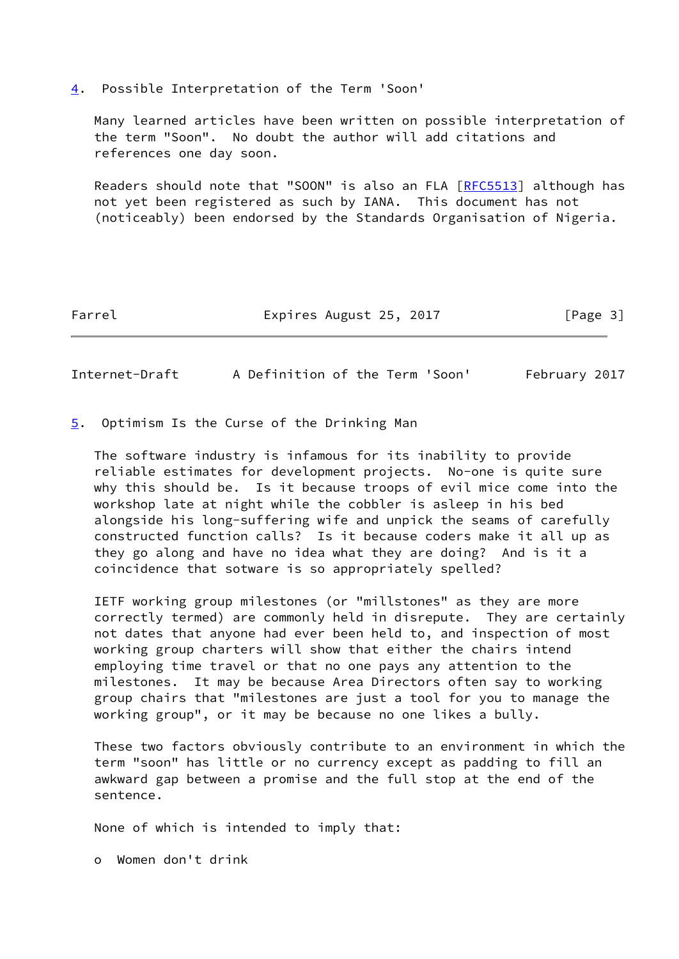<span id="page-3-0"></span>[4](#page-3-0). Possible Interpretation of the Term 'Soon'

 Many learned articles have been written on possible interpretation of the term "Soon". No doubt the author will add citations and references one day soon.

Readers should note that "SOON" is also an FLA [\[RFC5513](https://datatracker.ietf.org/doc/pdf/rfc5513)] although has not yet been registered as such by IANA. This document has not (noticeably) been endorsed by the Standards Organisation of Nigeria.

Farrel Expires August 25, 2017 [Page 3]

<span id="page-3-2"></span>Internet-Draft A Definition of the Term 'Soon' February 2017

<span id="page-3-1"></span>[5](#page-3-1). Optimism Is the Curse of the Drinking Man

 The software industry is infamous for its inability to provide reliable estimates for development projects. No-one is quite sure why this should be. Is it because troops of evil mice come into the workshop late at night while the cobbler is asleep in his bed alongside his long-suffering wife and unpick the seams of carefully constructed function calls? Is it because coders make it all up as they go along and have no idea what they are doing? And is it a coincidence that sotware is so appropriately spelled?

 IETF working group milestones (or "millstones" as they are more correctly termed) are commonly held in disrepute. They are certainly not dates that anyone had ever been held to, and inspection of most working group charters will show that either the chairs intend employing time travel or that no one pays any attention to the milestones. It may be because Area Directors often say to working group chairs that "milestones are just a tool for you to manage the working group", or it may be because no one likes a bully.

 These two factors obviously contribute to an environment in which the term "soon" has little or no currency except as padding to fill an awkward gap between a promise and the full stop at the end of the sentence.

None of which is intended to imply that:

o Women don't drink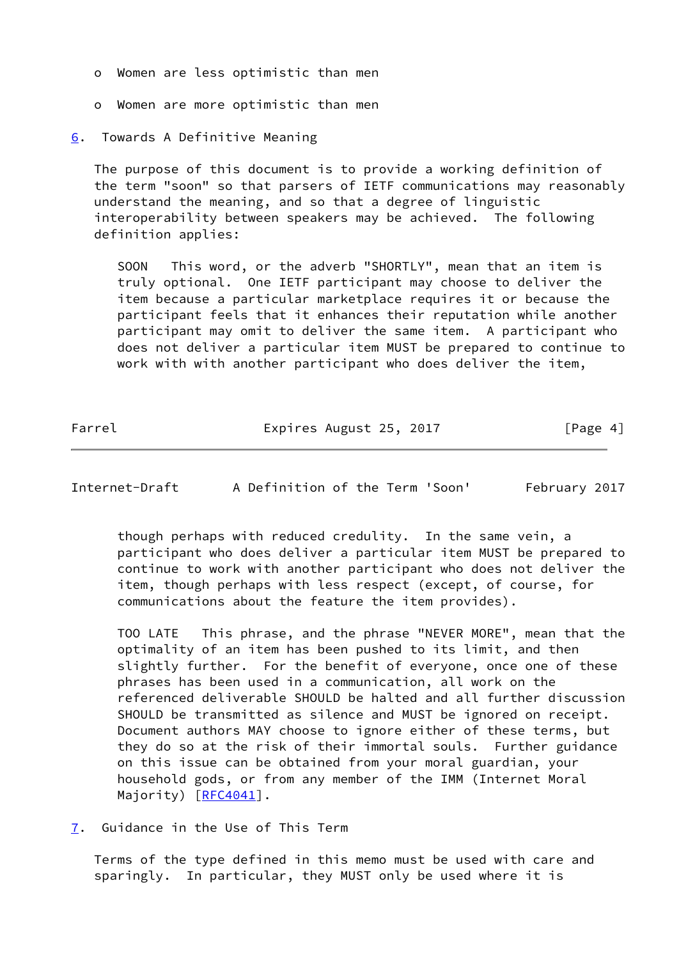- o Women are less optimistic than men
- o Women are more optimistic than men
- <span id="page-4-0"></span>[6](#page-4-0). Towards A Definitive Meaning

 The purpose of this document is to provide a working definition of the term "soon" so that parsers of IETF communications may reasonably understand the meaning, and so that a degree of linguistic interoperability between speakers may be achieved. The following definition applies:

 SOON This word, or the adverb "SHORTLY", mean that an item is truly optional. One IETF participant may choose to deliver the item because a particular marketplace requires it or because the participant feels that it enhances their reputation while another participant may omit to deliver the same item. A participant who does not deliver a particular item MUST be prepared to continue to work with with another participant who does deliver the item,

Farrel Expires August 25, 2017 [Page 4]

<span id="page-4-2"></span>Internet-Draft A Definition of the Term 'Soon' February 2017

 though perhaps with reduced credulity. In the same vein, a participant who does deliver a particular item MUST be prepared to continue to work with another participant who does not deliver the item, though perhaps with less respect (except, of course, for communications about the feature the item provides).

 TOO LATE This phrase, and the phrase "NEVER MORE", mean that the optimality of an item has been pushed to its limit, and then slightly further. For the benefit of everyone, once one of these phrases has been used in a communication, all work on the referenced deliverable SHOULD be halted and all further discussion SHOULD be transmitted as silence and MUST be ignored on receipt. Document authors MAY choose to ignore either of these terms, but they do so at the risk of their immortal souls. Further guidance on this issue can be obtained from your moral guardian, your household gods, or from any member of the IMM (Internet Moral Majority) [\[RFC4041](https://datatracker.ietf.org/doc/pdf/rfc4041)].

<span id="page-4-1"></span>[7](#page-4-1). Guidance in the Use of This Term

 Terms of the type defined in this memo must be used with care and sparingly. In particular, they MUST only be used where it is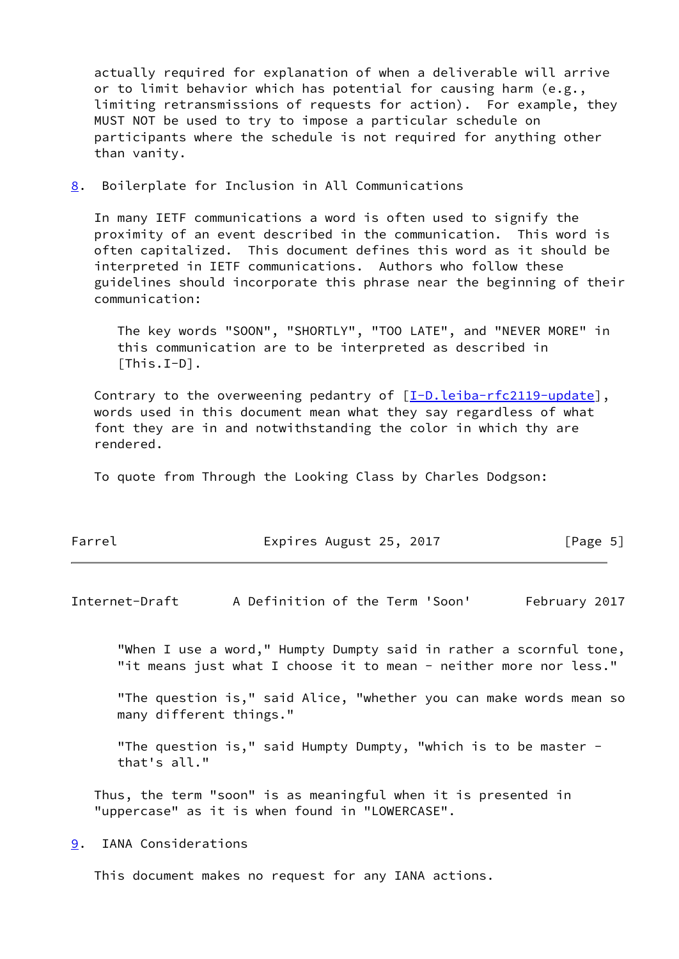actually required for explanation of when a deliverable will arrive or to limit behavior which has potential for causing harm (e.g., limiting retransmissions of requests for action). For example, they MUST NOT be used to try to impose a particular schedule on participants where the schedule is not required for anything other than vanity.

<span id="page-5-0"></span>[8](#page-5-0). Boilerplate for Inclusion in All Communications

 In many IETF communications a word is often used to signify the proximity of an event described in the communication. This word is often capitalized. This document defines this word as it should be interpreted in IETF communications. Authors who follow these guidelines should incorporate this phrase near the beginning of their communication:

 The key words "SOON", "SHORTLY", "TOO LATE", and "NEVER MORE" in this communication are to be interpreted as described in [This.I-D].

Contrary to the overweening pedantry of  $[I-D.leiba-rfc2119-update]$  $[I-D.leiba-rfc2119-update]$ , words used in this document mean what they say regardless of what font they are in and notwithstanding the color in which thy are rendered.

To quote from Through the Looking Class by Charles Dodgson:

| Farrel<br>Expires August 25, 2017 | [Page 5] |
|-----------------------------------|----------|
|-----------------------------------|----------|

<span id="page-5-2"></span>Internet-Draft A Definition of the Term 'Soon' February 2017

 "When I use a word," Humpty Dumpty said in rather a scornful tone, "it means just what I choose it to mean - neither more nor less."

 "The question is," said Alice, "whether you can make words mean so many different things."

"The question is," said Humpty Dumpty, "which is to be master that's all."

 Thus, the term "soon" is as meaningful when it is presented in "uppercase" as it is when found in "LOWERCASE".

<span id="page-5-1"></span>[9](#page-5-1). IANA Considerations

This document makes no request for any IANA actions.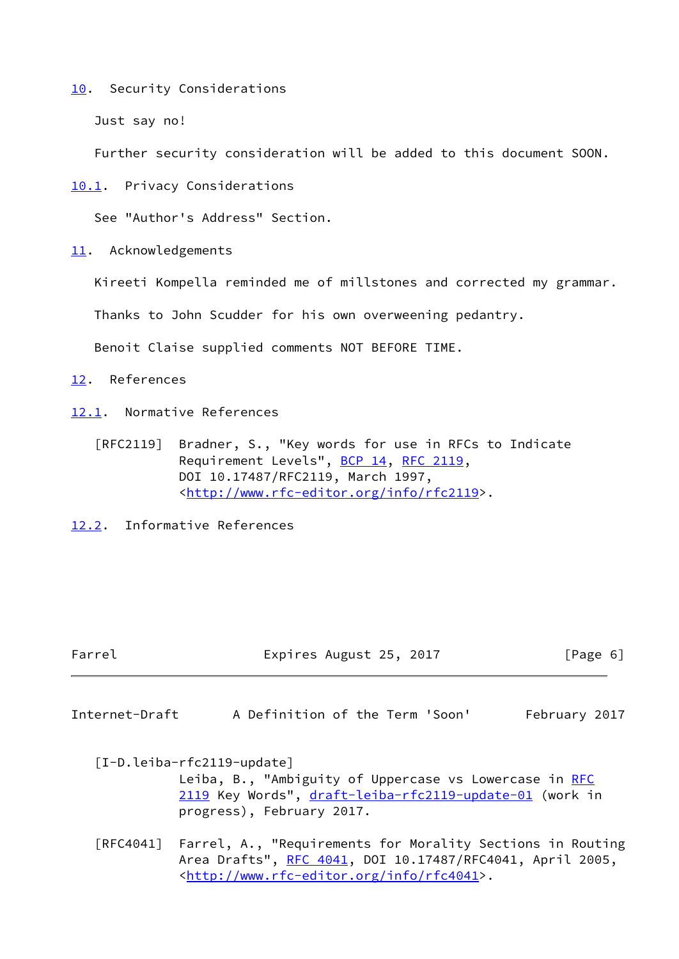<span id="page-6-0"></span>[10.](#page-6-0) Security Considerations

Just say no!

Further security consideration will be added to this document SOON.

<span id="page-6-1"></span>[10.1](#page-6-1). Privacy Considerations

See "Author's Address" Section.

<span id="page-6-2"></span>[11.](#page-6-2) Acknowledgements

Kireeti Kompella reminded me of millstones and corrected my grammar.

Thanks to John Scudder for his own overweening pedantry.

Benoit Claise supplied comments NOT BEFORE TIME.

<span id="page-6-3"></span>[12.](#page-6-3) References

<span id="page-6-4"></span>[12.1](#page-6-4). Normative References

 [RFC2119] Bradner, S., "Key words for use in RFCs to Indicate Requirement Levels", [BCP 14](https://datatracker.ietf.org/doc/pdf/bcp14), [RFC 2119](https://datatracker.ietf.org/doc/pdf/rfc2119), DOI 10.17487/RFC2119, March 1997, <<http://www.rfc-editor.org/info/rfc2119>>.

<span id="page-6-5"></span>[12.2](#page-6-5). Informative References

Farrel Expires August 25, 2017 [Page 6]

<span id="page-6-6"></span>Internet-Draft A Definition of the Term 'Soon' February 2017

<span id="page-6-7"></span> [I-D.leiba-rfc2119-update] Leiba, B., "Ambiguity of Uppercase vs Lowercase in [RFC](https://datatracker.ietf.org/doc/pdf/rfc2119) [2119](https://datatracker.ietf.org/doc/pdf/rfc2119) Key Words", [draft-leiba-rfc2119-update-01](https://datatracker.ietf.org/doc/pdf/draft-leiba-rfc2119-update-01) (work in progress), February 2017.

 [RFC4041] Farrel, A., "Requirements for Morality Sections in Routing Area Drafts", [RFC 4041](https://datatracker.ietf.org/doc/pdf/rfc4041), DOI 10.17487/RFC4041, April 2005, <<http://www.rfc-editor.org/info/rfc4041>>.